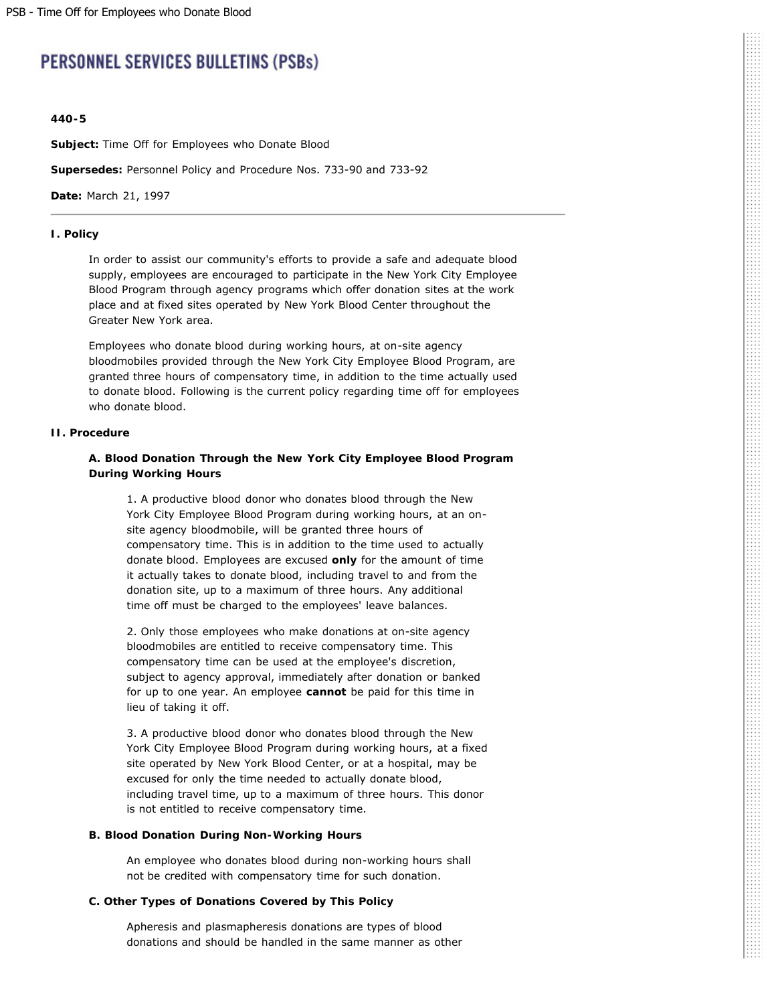# **PERSONNEL SERVICES BULLETINS (PSBs)**

### **440-5**

**Subject:** Time Off for Employees who Donate Blood

**Supersedes:** Personnel Policy and Procedure Nos. 733-90 and 733-92

**Date:** March 21, 1997

#### **I. Policy**

In order to assist our community's efforts to provide a safe and adequate blood supply, employees are encouraged to participate in the New York City Employee Blood Program through agency programs which offer donation sites at the work place and at fixed sites operated by New York Blood Center throughout the Greater New York area.

Employees who donate blood during working hours, at on-site agency bloodmobiles provided through the New York City Employee Blood Program, are granted three hours of compensatory time, in addition to the time actually used to donate blood. Following is the current policy regarding time off for employees who donate blood.

#### **II. Procedure**

# **A. Blood Donation Through the New York City Employee Blood Program During Working Hours**

1. A productive blood donor who donates blood through the New York City Employee Blood Program during working hours, at an onsite agency bloodmobile, will be granted three hours of compensatory time. This is in addition to the time used to actually donate blood. Employees are excused **only** for the amount of time it actually takes to donate blood, including travel to and from the donation site, up to a maximum of three hours. Any additional time off must be charged to the employees' leave balances.

2. Only those employees who make donations at on-site agency bloodmobiles are entitled to receive compensatory time. This compensatory time can be used at the employee's discretion, subject to agency approval, immediately after donation or banked for up to one year. An employee **cannot** be paid for this time in lieu of taking it off.

3. A productive blood donor who donates blood through the New York City Employee Blood Program during working hours, at a fixed site operated by New York Blood Center, or at a hospital, may be excused for only the time needed to actually donate blood, including travel time, up to a maximum of three hours. This donor is not entitled to receive compensatory time.

### **B. Blood Donation During Non-Working Hours**

An employee who donates blood during non-working hours shall not be credited with compensatory time for such donation.

# **C. Other Types of Donations Covered by This Policy**

Apheresis and plasmapheresis donations are types of blood donations and should be handled in the same manner as other